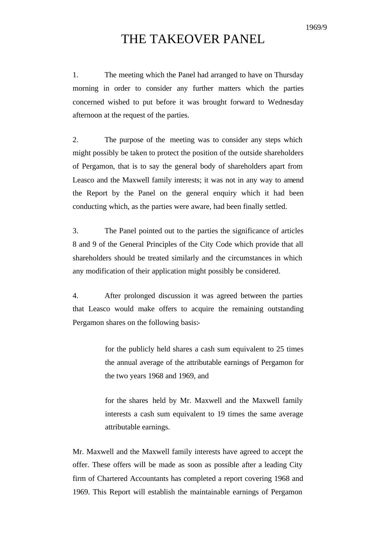## THE TAKEOVER PANEL

1. The meeting which the Panel had arranged to have on Thursday morning in order to consider any further matters which the parties concerned wished to put before it was brought forward to Wednesday afternoon at the request of the parties.

2. The purpose of the meeting was to consider any steps which might possibly be taken to protect the position of the outside shareholders of Pergamon, that is to say the general body of shareholders apart from Leasco and the Maxwell family interests; it was not in any way to amend the Report by the Panel on the general enquiry which it had been conducting which, as the parties were aware, had been finally settled.

3. The Panel pointed out to the parties the significance of articles 8 and 9 of the General Principles of the City Code which provide that all shareholders should be treated similarly and the circumstances in which any modification of their application might possibly be considered.

4. After prolonged discussion it was agreed between the parties that Leasco would make offers to acquire the remaining outstanding Pergamon shares on the following basis:-

> for the publicly held shares a cash sum equivalent to 25 times the annual average of the attributable earnings of Pergamon for the two years 1968 and 1969, and

> for the shares held by Mr. Maxwell and the Maxwell family interests a cash sum equivalent to 19 times the same average attributable earnings.

Mr. Maxwell and the Maxwell family interests have agreed to accept the offer. These offers will be made as soon as possible after a leading City firm of Chartered Accountants has completed a report covering 1968 and 1969. This Report will establish the maintainable earnings of Pergamon